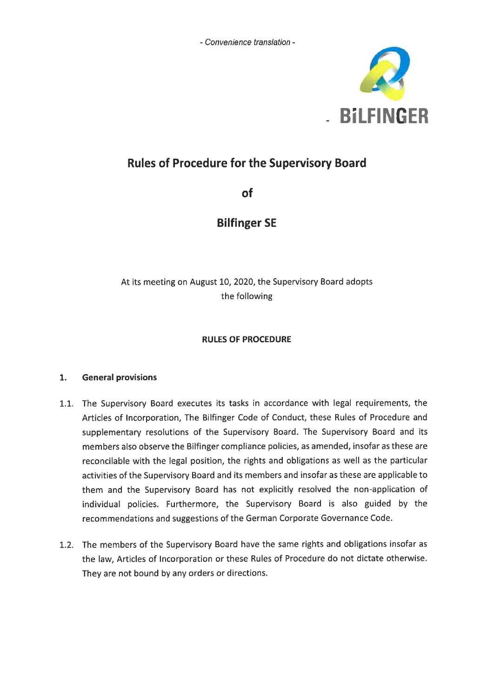- Convenience translation -



# **Rules of Procedure for the Supervisory Board**

of

# **Bilfinger SE**

At its meeting on August 10, 2020, the Supervisory Board adopts the following

# **RULES OF PROCEDURE**

#### $\mathbf{1}$ . **General provisions**

- 1.1. The Supervisory Board executes its tasks in accordance with legal requirements, the Articles of Incorporation, The Bilfinger Code of Conduct, these Rules of Procedure and supplementary resolutions of the Supervisory Board. The Supervisory Board and its members also observe the Bilfinger compliance policies, as amended, insofar as these are reconcilable with the legal position, the rights and obligations as well as the particular activities of the Supervisory Board and its members and insofar as these are applicable to them and the Supervisory Board has not explicitly resolved the non-application of individual policies. Furthermore, the Supervisory Board is also guided by the recommendations and suggestions of the German Corporate Governance Code.
- 1.2. The members of the Supervisory Board have the same rights and obligations insofar as the law, Articles of Incorporation or these Rules of Procedure do not dictate otherwise. They are not bound by any orders or directions.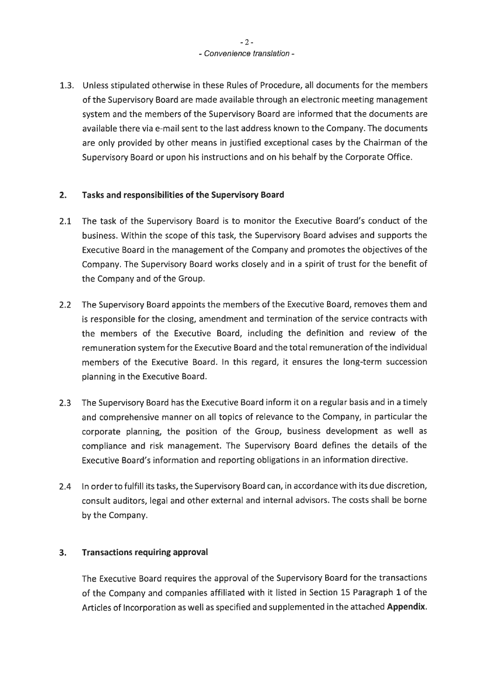1.3. Unless stipulated otherwise in these Rules of Procedure, all documents for the members of the Supervisory Board are made available through an electronic meeting management system and the members of the Supervisory Board are informed that the documents are available there via e-mail sent to the last address known to the Company. The documents are only provided by other means in justified exceptional cases by the Chairman of the Supervisory Board or upon his instructions and on his behalf by the Corporate Office.

#### $2.$ Tasks and responsibilities of the Supervisory Board

- $2.1$ The task of the Supervisory Board is to monitor the Executive Board's conduct of the business. Within the scope of this task, the Supervisory Board advises and supports the Executive Board in the management of the Company and promotes the objectives of the Company. The Supervisory Board works closely and in a spirit of trust for the benefit of the Company and of the Group.
- 2.2 The Supervisory Board appoints the members of the Executive Board, removes them and is responsible for the closing, amendment and termination of the service contracts with the members of the Executive Board, including the definition and review of the remuneration system for the Executive Board and the total remuneration of the individual members of the Executive Board. In this regard, it ensures the long-term succession planning in the Executive Board.
- 2.3 The Supervisory Board has the Executive Board inform it on a regular basis and in a timely and comprehensive manner on all topics of relevance to the Company, in particular the corporate planning, the position of the Group, business development as well as compliance and risk management. The Supervisory Board defines the details of the Executive Board's information and reporting obligations in an information directive.
- 2.4 In order to fulfill its tasks, the Supervisory Board can, in accordance with its due discretion, consult auditors, legal and other external and internal advisors. The costs shall be borne by the Company.

#### $3.$ **Transactions requiring approval**

The Executive Board requires the approval of the Supervisory Board for the transactions of the Company and companies affiliated with it listed in Section 15 Paragraph 1 of the Articles of Incorporation as well as specified and supplemented in the attached Appendix.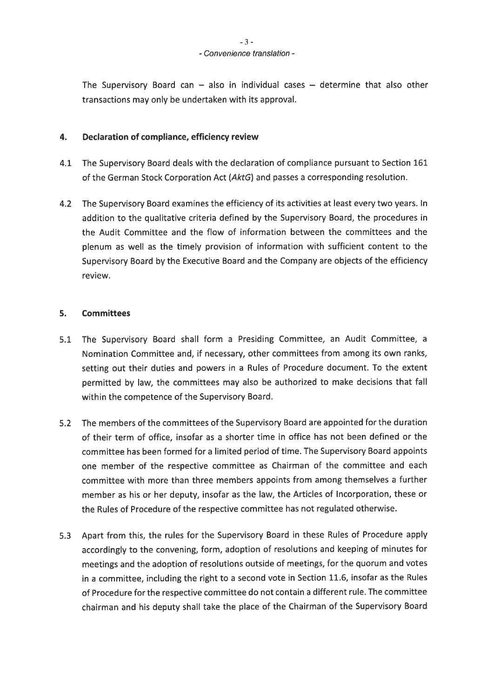The Supervisory Board can  $-$  also in individual cases  $-$  determine that also other transactions may only be undertaken with its approval.

#### $4.$ Declaration of compliance, efficiency review

- 4.1 The Supervisory Board deals with the declaration of compliance pursuant to Section 161 of the German Stock Corporation Act (AktG) and passes a corresponding resolution.
- 4.2 The Supervisory Board examines the efficiency of its activities at least every two years. In addition to the qualitative criteria defined by the Supervisory Board, the procedures in the Audit Committee and the flow of information between the committees and the plenum as well as the timely provision of information with sufficient content to the Supervisory Board by the Executive Board and the Company are objects of the efficiency review.

#### 5. **Committees**

- $5.1$ The Supervisory Board shall form a Presiding Committee, an Audit Committee, a Nomination Committee and, if necessary, other committees from among its own ranks, setting out their duties and powers in a Rules of Procedure document. To the extent permitted by law, the committees may also be authorized to make decisions that fall within the competence of the Supervisory Board.
- 5.2 The members of the committees of the Supervisory Board are appointed for the duration of their term of office, insofar as a shorter time in office has not been defined or the committee has been formed for a limited period of time. The Supervisory Board appoints one member of the respective committee as Chairman of the committee and each committee with more than three members appoints from among themselves a further member as his or her deputy, insofar as the law, the Articles of Incorporation, these or the Rules of Procedure of the respective committee has not regulated otherwise.
- 5.3 Apart from this, the rules for the Supervisory Board in these Rules of Procedure apply accordingly to the convening, form, adoption of resolutions and keeping of minutes for meetings and the adoption of resolutions outside of meetings, for the quorum and votes in a committee, including the right to a second vote in Section 11.6, insofar as the Rules of Procedure for the respective committee do not contain a different rule. The committee chairman and his deputy shall take the place of the Chairman of the Supervisory Board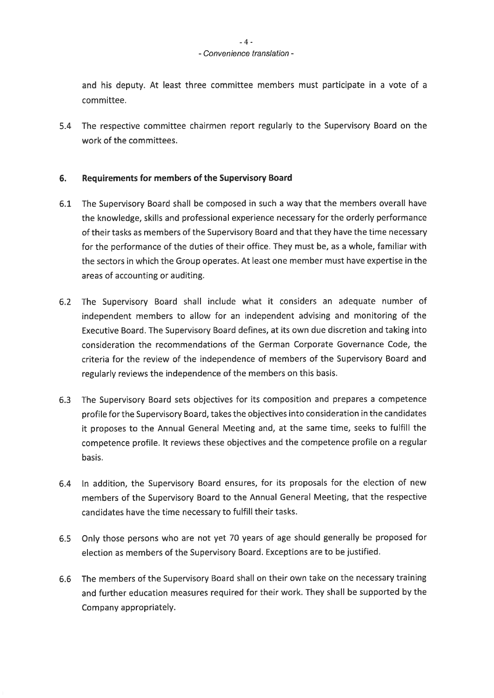### - Convenience translation -

and his deputy. At least three committee members must participate in a vote of a committee.

5.4 The respective committee chairmen report regularly to the Supervisory Board on the work of the committees.

#### 6. **Requirements for members of the Supervisory Board**

- The Supervisory Board shall be composed in such a way that the members overall have  $6.1$ the knowledge, skills and professional experience necessary for the orderly performance of their tasks as members of the Supervisory Board and that they have the time necessary for the performance of the duties of their office. They must be, as a whole, familiar with the sectors in which the Group operates. At least one member must have expertise in the areas of accounting or auditing.
- 6.2 The Supervisory Board shall include what it considers an adequate number of independent members to allow for an independent advising and monitoring of the Executive Board. The Supervisory Board defines, at its own due discretion and taking into consideration the recommendations of the German Corporate Governance Code, the criteria for the review of the independence of members of the Supervisory Board and regularly reviews the independence of the members on this basis.
- The Supervisory Board sets objectives for its composition and prepares a competence  $6.3$ profile for the Supervisory Board, takes the objectives into consideration in the candidates it proposes to the Annual General Meeting and, at the same time, seeks to fulfill the competence profile. It reviews these objectives and the competence profile on a regular basis.
- In addition, the Supervisory Board ensures, for its proposals for the election of new  $6.4$ members of the Supervisory Board to the Annual General Meeting, that the respective candidates have the time necessary to fulfill their tasks.
- $6.5$ Only those persons who are not yet 70 years of age should generally be proposed for election as members of the Supervisory Board. Exceptions are to be justified.
- 6.6 The members of the Supervisory Board shall on their own take on the necessary training and further education measures required for their work. They shall be supported by the Company appropriately.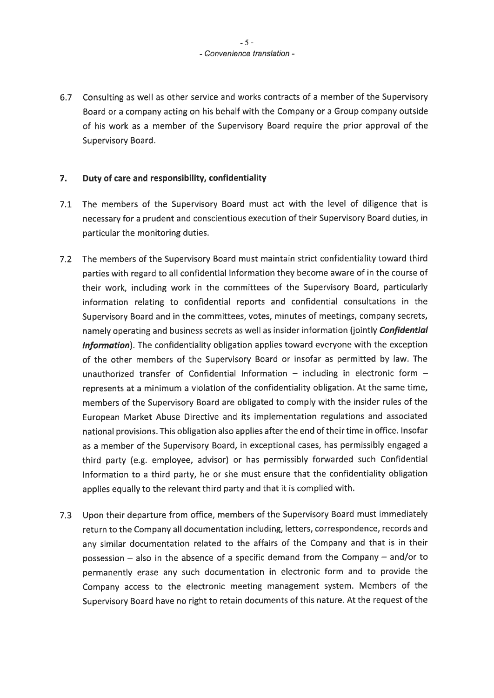## $-5-$ - Convenience translation -

6.7 Consulting as well as other service and works contracts of a member of the Supervisory Board or a company acting on his behalf with the Company or a Group company outside of his work as a member of the Supervisory Board require the prior approval of the Supervisory Board.

#### $\overline{7}$ . Duty of care and responsibility, confidentiality

- The members of the Supervisory Board must act with the level of diligence that is  $7.1$ necessary for a prudent and conscientious execution of their Supervisory Board duties, in particular the monitoring duties.
- 7.2 The members of the Supervisory Board must maintain strict confidentiality toward third parties with regard to all confidential information they become aware of in the course of their work, including work in the committees of the Supervisory Board, particularly information relating to confidential reports and confidential consultations in the Supervisory Board and in the committees, votes, minutes of meetings, company secrets, namely operating and business secrets as well as insider information (jointly Confidential Information). The confidentiality obligation applies toward everyone with the exception of the other members of the Supervisory Board or insofar as permitted by law. The unauthorized transfer of Confidential Information - including in electronic form represents at a minimum a violation of the confidentiality obligation. At the same time, members of the Supervisory Board are obligated to comply with the insider rules of the European Market Abuse Directive and its implementation regulations and associated national provisions. This obligation also applies after the end of their time in office. Insofar as a member of the Supervisory Board, in exceptional cases, has permissibly engaged a third party (e.g. employee, advisor) or has permissibly forwarded such Confidential Information to a third party, he or she must ensure that the confidentiality obligation applies equally to the relevant third party and that it is complied with.
- 7.3 Upon their departure from office, members of the Supervisory Board must immediately return to the Company all documentation including, letters, correspondence, records and any similar documentation related to the affairs of the Company and that is in their possession  $-$  also in the absence of a specific demand from the Company  $-$  and/or to permanently erase any such documentation in electronic form and to provide the Company access to the electronic meeting management system. Members of the Supervisory Board have no right to retain documents of this nature. At the request of the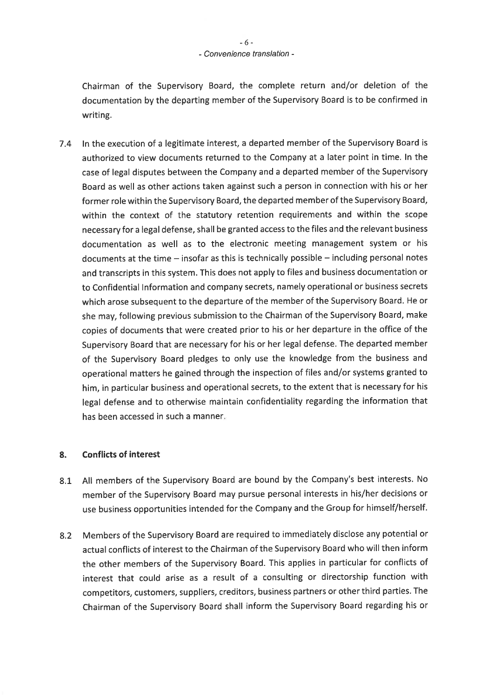Chairman of the Supervisory Board, the complete return and/or deletion of the documentation by the departing member of the Supervisory Board is to be confirmed in writing.

In the execution of a legitimate interest, a departed member of the Supervisory Board is  $7.4$ authorized to view documents returned to the Company at a later point in time. In the case of legal disputes between the Company and a departed member of the Supervisory Board as well as other actions taken against such a person in connection with his or her former role within the Supervisory Board, the departed member of the Supervisory Board, within the context of the statutory retention requirements and within the scope necessary for a legal defense, shall be granted access to the files and the relevant business documentation as well as to the electronic meeting management system or his documents at the time - insofar as this is technically possible - including personal notes and transcripts in this system. This does not apply to files and business documentation or to Confidential Information and company secrets, namely operational or business secrets which arose subsequent to the departure of the member of the Supervisory Board. He or she may, following previous submission to the Chairman of the Supervisory Board, make copies of documents that were created prior to his or her departure in the office of the Supervisory Board that are necessary for his or her legal defense. The departed member of the Supervisory Board pledges to only use the knowledge from the business and operational matters he gained through the inspection of files and/or systems granted to him, in particular business and operational secrets, to the extent that is necessary for his legal defense and to otherwise maintain confidentiality regarding the information that has been accessed in such a manner.

#### 8. **Conflicts of interest**

- All members of the Supervisory Board are bound by the Company's best interests. No  $8.1$ member of the Supervisory Board may pursue personal interests in his/her decisions or use business opportunities intended for the Company and the Group for himself/herself.
- 8.2 Members of the Supervisory Board are required to immediately disclose any potential or actual conflicts of interest to the Chairman of the Supervisory Board who will then inform the other members of the Supervisory Board. This applies in particular for conflicts of interest that could arise as a result of a consulting or directorship function with competitors, customers, suppliers, creditors, business partners or other third parties. The Chairman of the Supervisory Board shall inform the Supervisory Board regarding his or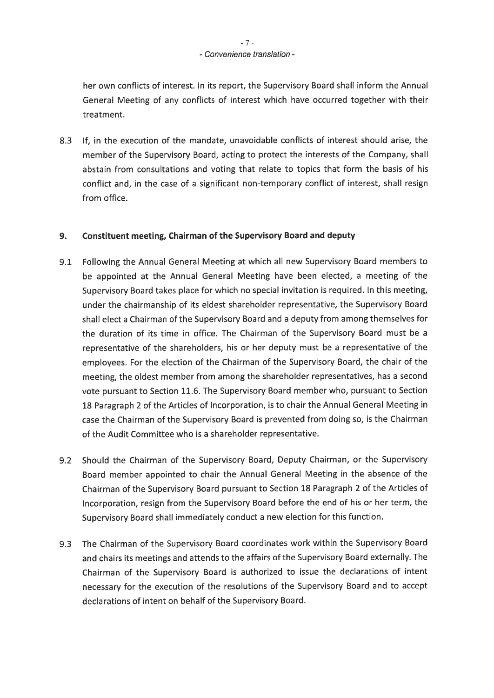her own conflicts of interest. In its report, the Supervisory Board shall inform the Annual General Meeting of any conflicts of interest which have occurred together with their treatment.

 $8.3$ If, in the execution of the mandate, unavoidable conflicts of interest should arise, the member of the Supervisory Board, acting to protect the interests of the Company, shall abstain from consultations and voting that relate to topics that form the basis of his conflict and, in the case of a significant non-temporary conflict of interest, shall resign from office.

#### Constituent meeting, Chairman of the Supervisory Board and deputy  $9.$

- Following the Annual General Meeting at which all new Supervisory Board members to  $9.1$ be appointed at the Annual General Meeting have been elected, a meeting of the Supervisory Board takes place for which no special invitation is required. In this meeting, under the chairmanship of its eldest shareholder representative, the Supervisory Board shall elect a Chairman of the Supervisory Board and a deputy from among themselves for the duration of its time in office. The Chairman of the Supervisory Board must be a representative of the shareholders, his or her deputy must be a representative of the employees. For the election of the Chairman of the Supervisory Board, the chair of the meeting, the oldest member from among the shareholder representatives, has a second vote pursuant to Section 11.6. The Supervisory Board member who, pursuant to Section 18 Paragraph 2 of the Articles of Incorporation, is to chair the Annual General Meeting in case the Chairman of the Supervisory Board is prevented from doing so, is the Chairman of the Audit Committee who is a shareholder representative.
- Should the Chairman of the Supervisory Board, Deputy Chairman, or the Supervisory  $9.2$ Board member appointed to chair the Annual General Meeting in the absence of the Chairman of the Supervisory Board pursuant to Section 18 Paragraph 2 of the Articles of Incorporation, resign from the Supervisory Board before the end of his or her term, the Supervisory Board shall immediately conduct a new election for this function.
- 9.3 The Chairman of the Supervisory Board coordinates work within the Supervisory Board and chairs its meetings and attends to the affairs of the Supervisory Board externally. The Chairman of the Supervisory Board is authorized to issue the declarations of intent necessary for the execution of the resolutions of the Supervisory Board and to accept declarations of intent on behalf of the Supervisory Board.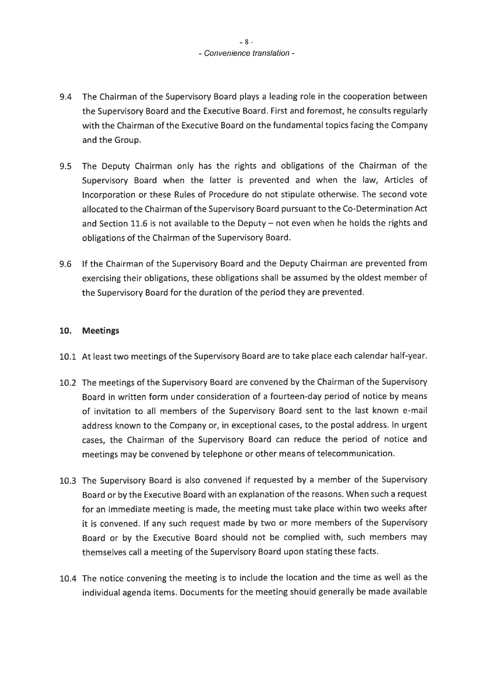## $-8-$ - Convenience translation -

- 9.4 The Chairman of the Supervisory Board plays a leading role in the cooperation between the Supervisory Board and the Executive Board. First and foremost, he consults regularly with the Chairman of the Executive Board on the fundamental topics facing the Company and the Group.
- 9.5 The Deputy Chairman only has the rights and obligations of the Chairman of the Supervisory Board when the latter is prevented and when the law, Articles of Incorporation or these Rules of Procedure do not stipulate otherwise. The second vote allocated to the Chairman of the Supervisory Board pursuant to the Co-Determination Act and Section 11.6 is not available to the Deputy – not even when he holds the rights and obligations of the Chairman of the Supervisory Board.
- 9.6 If the Chairman of the Supervisory Board and the Deputy Chairman are prevented from exercising their obligations, these obligations shall be assumed by the oldest member of the Supervisory Board for the duration of the period they are prevented.

# 10. Meetings

- 10.1 At least two meetings of the Supervisory Board are to take place each calendar half-year.
- 10.2 The meetings of the Supervisory Board are convened by the Chairman of the Supervisory Board in written form under consideration of a fourteen-day period of notice by means of invitation to all members of the Supervisory Board sent to the last known e-mail address known to the Company or, in exceptional cases, to the postal address. In urgent cases, the Chairman of the Supervisory Board can reduce the period of notice and meetings may be convened by telephone or other means of telecommunication.
- 10.3 The Supervisory Board is also convened if requested by a member of the Supervisory Board or by the Executive Board with an explanation of the reasons. When such a request for an immediate meeting is made, the meeting must take place within two weeks after it is convened. If any such request made by two or more members of the Supervisory Board or by the Executive Board should not be complied with, such members may themselves call a meeting of the Supervisory Board upon stating these facts.
- 10.4 The notice convening the meeting is to include the location and the time as well as the individual agenda items. Documents for the meeting should generally be made available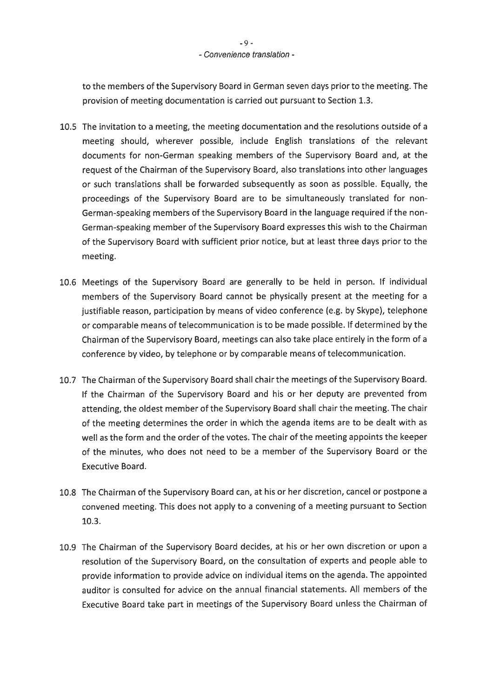to the members of the Supervisory Board in German seven days prior to the meeting. The provision of meeting documentation is carried out pursuant to Section 1.3.

- 10.5 The invitation to a meeting, the meeting documentation and the resolutions outside of a meeting should, wherever possible, include English translations of the relevant documents for non-German speaking members of the Supervisory Board and, at the request of the Chairman of the Supervisory Board, also translations into other languages or such translations shall be forwarded subsequently as soon as possible. Equally, the proceedings of the Supervisory Board are to be simultaneously translated for non-German-speaking members of the Supervisory Board in the language required if the non-German-speaking member of the Supervisory Board expresses this wish to the Chairman of the Supervisory Board with sufficient prior notice, but at least three days prior to the meeting.
- 10.6 Meetings of the Supervisory Board are generally to be held in person. If individual members of the Supervisory Board cannot be physically present at the meeting for a justifiable reason, participation by means of video conference (e.g. by Skype), telephone or comparable means of telecommunication is to be made possible. If determined by the Chairman of the Supervisory Board, meetings can also take place entirely in the form of a conference by video, by telephone or by comparable means of telecommunication.
- 10.7 The Chairman of the Supervisory Board shall chair the meetings of the Supervisory Board. If the Chairman of the Supervisory Board and his or her deputy are prevented from attending, the oldest member of the Supervisory Board shall chair the meeting. The chair of the meeting determines the order in which the agenda items are to be dealt with as well as the form and the order of the votes. The chair of the meeting appoints the keeper of the minutes, who does not need to be a member of the Supervisory Board or the **Executive Board.**
- 10.8 The Chairman of the Supervisory Board can, at his or her discretion, cancel or postpone a convened meeting. This does not apply to a convening of a meeting pursuant to Section 10.3.
- 10.9 The Chairman of the Supervisory Board decides, at his or her own discretion or upon a resolution of the Supervisory Board, on the consultation of experts and people able to provide information to provide advice on individual items on the agenda. The appointed auditor is consulted for advice on the annual financial statements. All members of the Executive Board take part in meetings of the Supervisory Board unless the Chairman of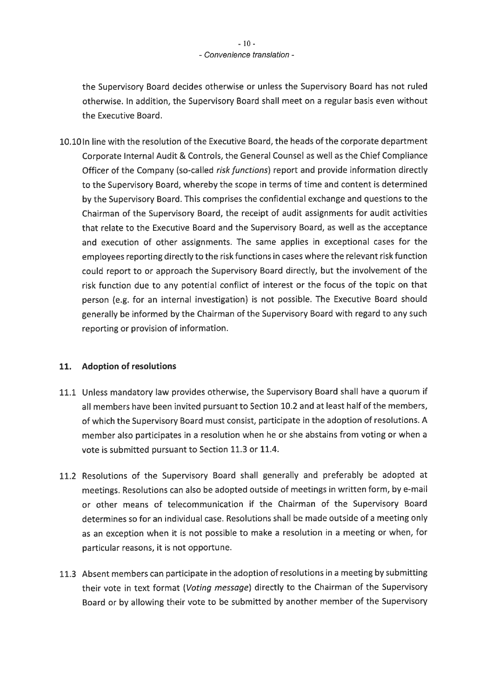the Supervisory Board decides otherwise or unless the Supervisory Board has not ruled otherwise. In addition, the Supervisory Board shall meet on a regular basis even without the Executive Board.

10.10 In line with the resolution of the Executive Board, the heads of the corporate department Corporate Internal Audit & Controls, the General Counsel as well as the Chief Compliance Officer of the Company (so-called risk functions) report and provide information directly to the Supervisory Board, whereby the scope in terms of time and content is determined by the Supervisory Board. This comprises the confidential exchange and questions to the Chairman of the Supervisory Board, the receipt of audit assignments for audit activities that relate to the Executive Board and the Supervisory Board, as well as the acceptance and execution of other assignments. The same applies in exceptional cases for the employees reporting directly to the risk functions in cases where the relevant risk function could report to or approach the Supervisory Board directly, but the involvement of the risk function due to any potential conflict of interest or the focus of the topic on that person (e.g. for an internal investigation) is not possible. The Executive Board should generally be informed by the Chairman of the Supervisory Board with regard to any such reporting or provision of information.

#### **Adoption of resolutions** 11.

- 11.1 Unless mandatory law provides otherwise, the Supervisory Board shall have a quorum if all members have been invited pursuant to Section 10.2 and at least half of the members, of which the Supervisory Board must consist, participate in the adoption of resolutions. A member also participates in a resolution when he or she abstains from voting or when a vote is submitted pursuant to Section 11.3 or 11.4.
- 11.2 Resolutions of the Supervisory Board shall generally and preferably be adopted at meetings. Resolutions can also be adopted outside of meetings in written form, by e-mail or other means of telecommunication if the Chairman of the Supervisory Board determines so for an individual case. Resolutions shall be made outside of a meeting only as an exception when it is not possible to make a resolution in a meeting or when, for particular reasons, it is not opportune.
- 11.3 Absent members can participate in the adoption of resolutions in a meeting by submitting their vote in text format (Voting message) directly to the Chairman of the Supervisory Board or by allowing their vote to be submitted by another member of the Supervisory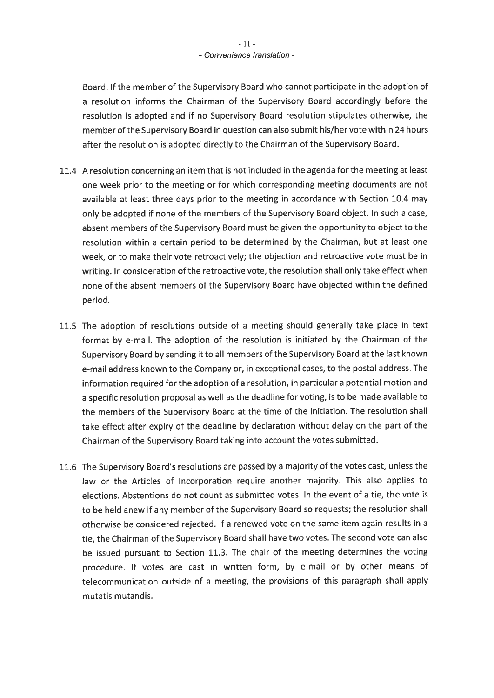Board. If the member of the Supervisory Board who cannot participate in the adoption of a resolution informs the Chairman of the Supervisory Board accordingly before the resolution is adopted and if no Supervisory Board resolution stipulates otherwise, the member of the Supervisory Board in question can also submit his/her vote within 24 hours after the resolution is adopted directly to the Chairman of the Supervisory Board.

- 11.4 A resolution concerning an item that is not included in the agenda for the meeting at least one week prior to the meeting or for which corresponding meeting documents are not available at least three days prior to the meeting in accordance with Section 10.4 may only be adopted if none of the members of the Supervisory Board object. In such a case, absent members of the Supervisory Board must be given the opportunity to object to the resolution within a certain period to be determined by the Chairman, but at least one week, or to make their vote retroactively; the objection and retroactive vote must be in writing. In consideration of the retroactive vote, the resolution shall only take effect when none of the absent members of the Supervisory Board have objected within the defined period.
- 11.5 The adoption of resolutions outside of a meeting should generally take place in text format by e-mail. The adoption of the resolution is initiated by the Chairman of the Supervisory Board by sending it to all members of the Supervisory Board at the last known e-mail address known to the Company or, in exceptional cases, to the postal address. The information required for the adoption of a resolution, in particular a potential motion and a specific resolution proposal as well as the deadline for voting, is to be made available to the members of the Supervisory Board at the time of the initiation. The resolution shall take effect after expiry of the deadline by declaration without delay on the part of the Chairman of the Supervisory Board taking into account the votes submitted.
- 11.6 The Supervisory Board's resolutions are passed by a majority of the votes cast, unless the law or the Articles of Incorporation require another majority. This also applies to elections. Abstentions do not count as submitted votes. In the event of a tie, the vote is to be held anew if any member of the Supervisory Board so requests; the resolution shall otherwise be considered rejected. If a renewed vote on the same item again results in a tie, the Chairman of the Supervisory Board shall have two votes. The second vote can also be issued pursuant to Section 11.3. The chair of the meeting determines the voting procedure. If votes are cast in written form, by e-mail or by other means of telecommunication outside of a meeting, the provisions of this paragraph shall apply mutatis mutandis.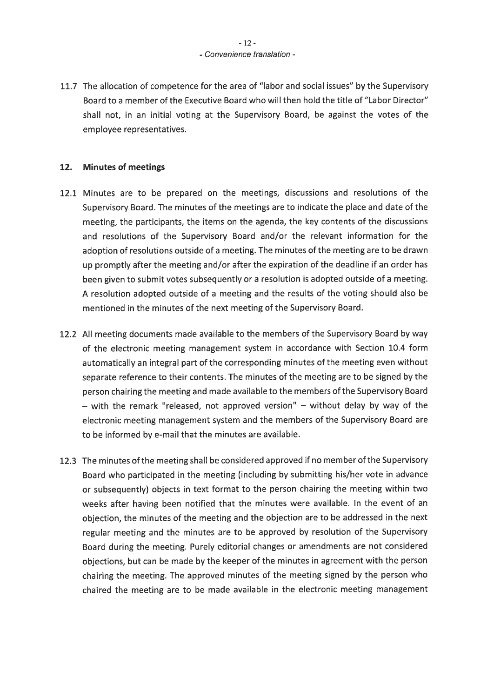# $-12-$ - Convenience translation -

11.7 The allocation of competence for the area of "labor and social issues" by the Supervisory Board to a member of the Executive Board who will then hold the title of "Labor Director" shall not, in an initial voting at the Supervisory Board, be against the votes of the employee representatives.

#### $12.$ **Minutes of meetings**

- 12.1 Minutes are to be prepared on the meetings, discussions and resolutions of the Supervisory Board. The minutes of the meetings are to indicate the place and date of the meeting, the participants, the items on the agenda, the key contents of the discussions and resolutions of the Supervisory Board and/or the relevant information for the adoption of resolutions outside of a meeting. The minutes of the meeting are to be drawn up promptly after the meeting and/or after the expiration of the deadline if an order has been given to submit votes subsequently or a resolution is adopted outside of a meeting. A resolution adopted outside of a meeting and the results of the voting should also be mentioned in the minutes of the next meeting of the Supervisory Board.
- 12.2 All meeting documents made available to the members of the Supervisory Board by way of the electronic meeting management system in accordance with Section 10.4 form automatically an integral part of the corresponding minutes of the meeting even without separate reference to their contents. The minutes of the meeting are to be signed by the person chairing the meeting and made available to the members of the Supervisory Board - with the remark "released, not approved version" - without delay by way of the electronic meeting management system and the members of the Supervisory Board are to be informed by e-mail that the minutes are available.
- 12.3 The minutes of the meeting shall be considered approved if no member of the Supervisory Board who participated in the meeting (including by submitting his/her vote in advance or subsequently) objects in text format to the person chairing the meeting within two weeks after having been notified that the minutes were available. In the event of an objection, the minutes of the meeting and the objection are to be addressed in the next regular meeting and the minutes are to be approved by resolution of the Supervisory Board during the meeting. Purely editorial changes or amendments are not considered objections, but can be made by the keeper of the minutes in agreement with the person chairing the meeting. The approved minutes of the meeting signed by the person who chaired the meeting are to be made available in the electronic meeting management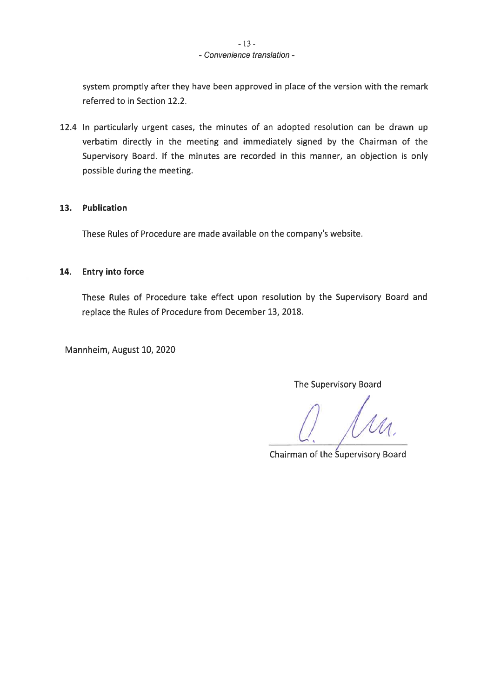# $-13-$ - Convenience translation -

system promptly after they have been approved in place of the version with the remark referred to in Section 12.2.

12.4 In particularly urgent cases, the minutes of an adopted resolution can be drawn up verbatim directly in the meeting and immediately signed by the Chairman of the Supervisory Board. If the minutes are recorded in this manner, an objection is only possible during the meeting.

#### Publication  $13.$

These Rules of Procedure are made available on the company's website.

#### 14. **Entry into force**

These Rules of Procedure take effect upon resolution by the Supervisory Board and replace the Rules of Procedure from December 13, 2018.

Mannheim, August 10, 2020

The Supervisory Board

Chairman of the Supervisory Board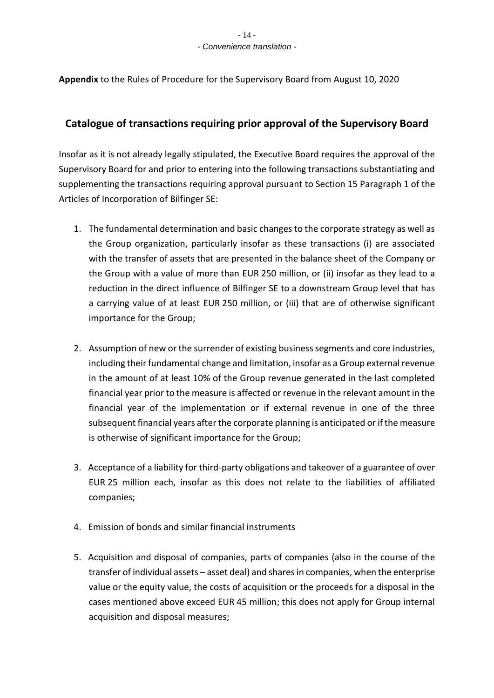**Appendix** to the Rules of Procedure for the Supervisory Board from August 10, 2020

# **Catalogue of transactions requiring prior approval of the Supervisory Board**

Insofar as it is not already legally stipulated, the Executive Board requires the approval of the Supervisory Board for and prior to entering into the following transactions substantiating and supplementing the transactions requiring approval pursuant to Section 15 Paragraph 1 of the Articles of Incorporation of Bilfinger SE:

- 1. The fundamental determination and basic changes to the corporate strategy as well as the Group organization, particularly insofar as these transactions (i) are associated with the transfer of assets that are presented in the balance sheet of the Company or the Group with a value of more than EUR 250 million, or (ii) insofar as they lead to a reduction in the direct influence of Bilfinger SE to a downstream Group level that has a carrying value of at least EUR 250 million, or (iii) that are of otherwise significant importance for the Group;
- 2. Assumption of new or the surrender of existing business segments and core industries, including their fundamental change and limitation, insofar as a Group external revenue in the amount of at least 10% of the Group revenue generated in the last completed financial year prior to the measure is affected or revenue in the relevant amount in the financial year of the implementation or if external revenue in one of the three subsequent financial years after the corporate planning is anticipated or if the measure is otherwise of significant importance for the Group;
- 3. Acceptance of a liability for third-party obligations and takeover of a guarantee of over EUR 25 million each, insofar as this does not relate to the liabilities of affiliated companies;
- 4. Emission of bonds and similar financial instruments
- 5. Acquisition and disposal of companies, parts of companies (also in the course of the transfer of individual assets – asset deal) and shares in companies, when the enterprise value or the equity value, the costs of acquisition or the proceeds for a disposal in the cases mentioned above exceed EUR 45 million; this does not apply for Group internal acquisition and disposal measures;